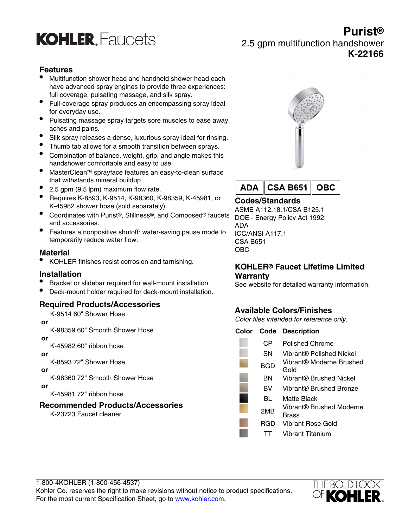

# **Purist®** 2.5 gpm multifunction handshower **K-22166**

## **Features**

- Multifunction shower head and handheld shower head each have advanced spray engines to provide three experiences: full coverage, pulsating massage, and silk spray.
- Full-coverage spray produces an encompassing spray ideal for everyday use.
- Pulsating massage spray targets sore muscles to ease away aches and pains.
- Silk spray releases a dense, luxurious spray ideal for rinsing.
- Thumb tab allows for a smooth transition between sprays.
- Combination of balance, weight, grip, and angle makes this handshower comfortable and easy to use.
- MasterClean™ sprayface features an easy-to-clean surface that withstands mineral buildup.
- 2.5 gpm (9.5 lpm) maximum flow rate.
- Requires K-8593, K-9514, K-98360, K-98359, K-45981, or K-45982 shower hose (sold separately).
- Coordinates with Purist®, Stillness®, and Composed® faucets and accessories.
- Features a nonpositive shutoff: water-saving pause mode to temporarily reduce water flow.

#### **Material**

• KOHLER finishes resist corrosion and tarnishing.

#### **Installation**

- Bracket or slidebar required for wall-mount installation.
- Deck-mount holder required for deck-mount installation.

#### **Required Products/Accessories**

K-9514 60" Shower Hose

#### **or**

K-98359 60" Smooth Shower Hose

 **or**

K-45982 60" ribbon hose

 **or**

K-8593 72" Shower Hose

 **or**

K-98360 72" Smooth Shower Hose

 **or**

K-45981 72" ribbon hose

#### **Recommended Products/Accessories**

K-23723 Faucet cleaner





# **Codes/Standards**

ASME A112.18.1/CSA B125.1 DOE - Energy Policy Act 1992 ADA ICC/ANSI A117.1 CSA B651 OBC

### **KOHLER® Faucet Lifetime Limited Warranty**

See website for detailed warranty information.

# **Available Colors/Finishes**

Color tiles intended for reference only.

| Color Code | <b>Description</b>                |
|------------|-----------------------------------|
| СP         | Polished Chrome                   |
| SΝ         | Vibrant® Polished Nickel          |
| BGD        | Vibrant® Moderne Brushed<br>Gold  |
| ΒN         | Vibrant® Brushed Nickel           |
| вv         | Vibrant® Brushed Bronze           |
| BL         | Matte Black                       |
| 2MB        | Vibrant® Brushed Moderne<br>Brass |
| RGD        | Vibrant Rose Gold                 |
|            | Vibrant Titanium                  |